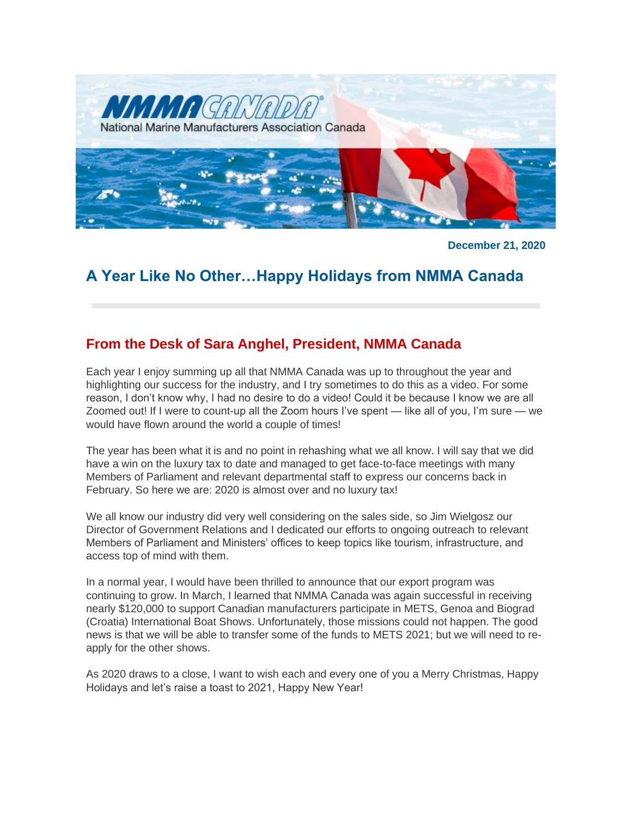

**December 21, 2020**

# **A Year Like No Other…Happy Holidays from NMMA Canada**

# **From the Desk of Sara Anghel, President, NMMA Canada**

Each year I enjoy summing up all that NMMA Canada was up to throughout the year and highlighting our success for the industry, and I try sometimes to do this as a video. For some reason, I don't know why, I had no desire to do a video! Could it be because I know we are all Zoomed out! If I were to count-up all the Zoom hours I've spent — like all of you, I'm sure — we would have flown around the world a couple of times!

The year has been what it is and no point in rehashing what we all know. I will say that we did have a win on the luxury tax to date and managed to get face-to-face meetings with many Members of Parliament and relevant departmental staff to express our concerns back in February. So here we are: 2020 is almost over and no luxury tax!

We all know our industry did very well considering on the sales side, so Jim Wielgosz our Director of Government Relations and I dedicated our efforts to ongoing outreach to relevant Members of Parliament and Ministers' offices to keep topics like tourism, infrastructure, and access top of mind with them.

In a normal year, I would have been thrilled to announce that our export program was continuing to grow. In March, I learned that NMMA Canada was again successful in receiving nearly \$120,000 to support Canadian manufacturers participate in METS, Genoa and Biograd (Croatia) International Boat Shows. Unfortunately, those missions could not happen. The good news is that we will be able to transfer some of the funds to METS 2021; but we will need to reapply for the other shows.

As 2020 draws to a close, I want to wish each and every one of you a Merry Christmas, Happy Holidays and let's raise a toast to 2021, Happy New Year!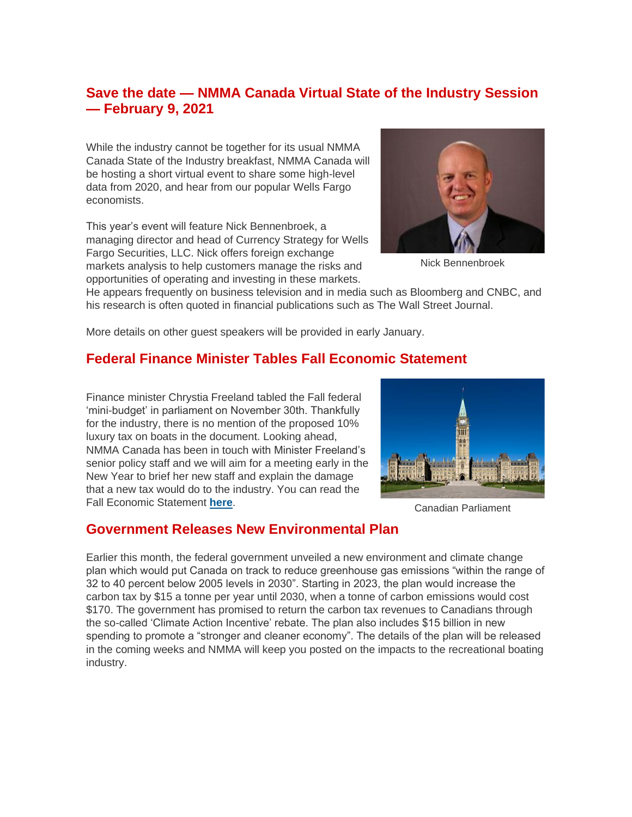# **Save the date — NMMA Canada Virtual State of the Industry Session — February 9, 2021**

While the industry cannot be together for its usual NMMA Canada State of the Industry breakfast, NMMA Canada will be hosting a short virtual event to share some high-level data from 2020, and hear from our popular Wells Fargo economists.

This year's event will feature Nick Bennenbroek, a managing director and head of Currency Strategy for Wells Fargo Securities, LLC. Nick offers foreign exchange markets analysis to help customers manage the risks and opportunities of operating and investing in these markets.



Nick Bennenbroek

He appears frequently on business television and in media such as Bloomberg and CNBC, and his research is often quoted in financial publications such as The Wall Street Journal.

More details on other guest speakers will be provided in early January.

# **Federal Finance Minister Tables Fall Economic Statement**

Finance minister Chrystia Freeland tabled the Fall federal 'mini-budget' in parliament on November 30th. Thankfully for the industry, there is no mention of the proposed 10% luxury tax on boats in the document. Looking ahead, NMMA Canada has been in touch with Minister Freeland's senior policy staff and we will aim for a meeting early in the New Year to brief her new staff and explain the damage that a new tax would do to the industry. You can read the Fall Economic Statement **[here](https://www.budget.gc.ca/fes-eea/2020/report-rapport/toc-tdm-en.html)**.



Canadian Parliament

### **Government Releases New Environmental Plan**

Earlier this month, the federal government unveiled a new environment and climate change plan which would put Canada on track to reduce greenhouse gas emissions "within the range of 32 to 40 percent below 2005 levels in 2030". Starting in 2023, the plan would increase the carbon tax by \$15 a tonne per year until 2030, when a tonne of carbon emissions would cost \$170. The government has promised to return the carbon tax revenues to Canadians through the so-called 'Climate Action Incentive' rebate. The plan also includes \$15 billion in new spending to promote a "stronger and cleaner economy". The details of the plan will be released in the coming weeks and NMMA will keep you posted on the impacts to the recreational boating industry.